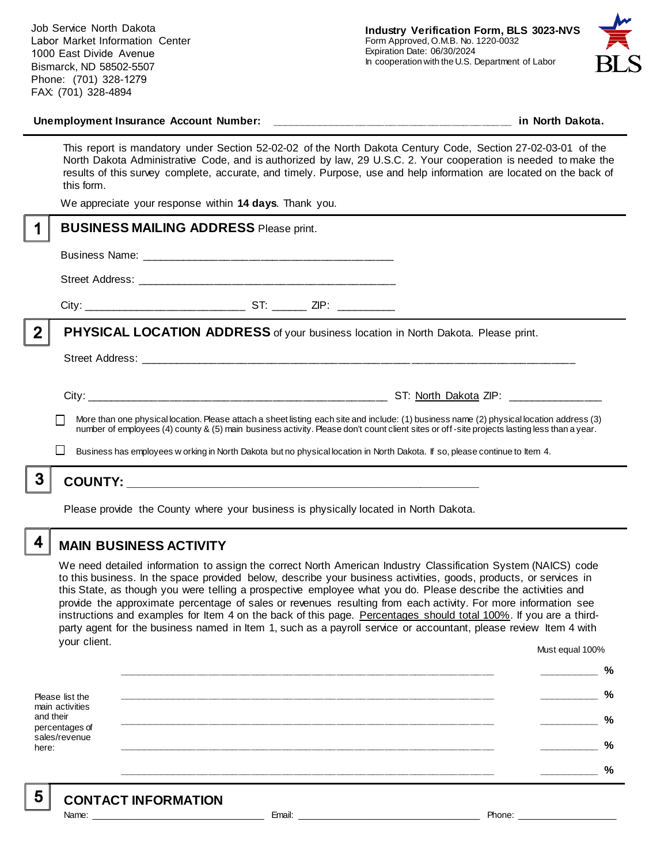Job Service North Dakota Labor Market Information Center 1000 East Divide Avenue Bismarck, ND 58502-5507 Phone: (701) 328-1279 FAX: (701) 328-4894



#### **Unemployment Insurance Account Number: \_\_\_\_\_\_\_\_\_\_\_\_\_\_\_\_\_\_\_\_\_\_\_\_\_\_\_\_\_\_\_\_\_\_\_\_\_\_\_\_ in North Dakota.**

This report is mandatory under Section 52-02-02 of the North Dakota Century Code, Section 27-02-03-01 of the North Dakota Administrative Code, and is authorized by law, 29 U.S.C. 2. Your cooperation is needed to make the results of this survey complete, accurate, and timely. Purpose, use and help information are located on the back of this form.

We appreciate your response within **14 days**. Thank you.

|                | <b>BUSINESS MAILING ADDRESS Please print.</b>                                                                                                                                                                                                                                            |
|----------------|------------------------------------------------------------------------------------------------------------------------------------------------------------------------------------------------------------------------------------------------------------------------------------------|
|                |                                                                                                                                                                                                                                                                                          |
|                |                                                                                                                                                                                                                                                                                          |
|                |                                                                                                                                                                                                                                                                                          |
| $\overline{2}$ | <b>PHYSICAL LOCATION ADDRESS</b> of your business location in North Dakota. Please print.                                                                                                                                                                                                |
|                |                                                                                                                                                                                                                                                                                          |
|                | More than one physical location. Please attach a sheet listing each site and include: (1) business name (2) physical location address (3)<br>number of employees (4) county & (5) main business activity. Please don't count client sites or off-site projects lasting less than a year. |
|                | Business has employees w orking in North Dakota but no physical location in North Dakota. If so, please continue to Item 4.                                                                                                                                                              |
|                | <b>COUNTY:</b>                                                                                                                                                                                                                                                                           |
|                |                                                                                                                                                                                                                                                                                          |

Please provide the County where your business is physically located in North Dakota.

4

5

### **MAIN BUSINESS ACTIVITY**

We need detailed information to assign the correct North American Industry Classification System (NAICS) code to this business. In the space provided below, describe your business activities, goods, products, or services in this State, as though you were telling a prospective employee what you do. Please describe the activities and provide the approximate percentage of sales or revenues resulting from each activity. For more information see instructions and examples for Item 4 on the back of this page. Percentages should total 100%. If you are a thirdparty agent for the business named in Item 1, such as a payroll service or accountant, please review Item 4 with your client. Must equal 100%

Please list the main activities and their percentages of sales/revenue here: **\_\_\_\_\_\_\_\_\_\_\_\_\_\_\_\_\_\_\_\_\_\_\_\_\_\_\_\_\_\_\_\_\_\_\_\_\_\_\_\_\_\_\_\_\_\_\_\_\_\_\_\_\_\_\_\_\_\_\_\_\_\_ \_\_\_\_\_\_\_\_\_\_ % \_\_\_\_\_\_\_\_\_\_\_\_\_\_\_\_\_\_\_\_\_\_\_\_\_\_\_\_\_\_\_\_\_\_\_\_\_\_\_\_\_\_\_\_\_\_\_\_\_\_\_\_\_\_\_\_\_\_\_\_\_\_ \_\_\_\_\_\_\_\_\_\_ % \_\_\_\_\_\_\_\_\_\_\_\_\_\_\_\_\_\_\_\_\_\_\_\_\_\_\_\_\_\_\_\_\_\_\_\_\_\_\_\_\_\_\_\_\_\_\_\_\_\_\_\_\_\_\_\_\_\_\_\_\_\_ \_\_\_\_\_\_\_\_\_\_ % \_\_\_\_\_\_\_\_\_\_\_\_\_\_\_\_\_\_\_\_\_\_\_\_\_\_\_\_\_\_\_\_\_\_\_\_\_\_\_\_\_\_\_\_\_\_\_\_\_\_\_\_\_\_\_\_\_\_\_\_\_\_ \_\_\_\_\_\_\_\_\_\_ % \_\_\_\_\_\_\_\_\_\_\_\_\_\_\_\_\_\_\_\_\_\_\_\_\_\_\_\_\_\_\_\_\_\_\_\_\_\_\_\_\_\_\_\_\_\_\_\_\_\_\_\_\_\_\_\_\_\_\_\_\_\_ \_\_\_\_\_\_\_\_\_\_ %**